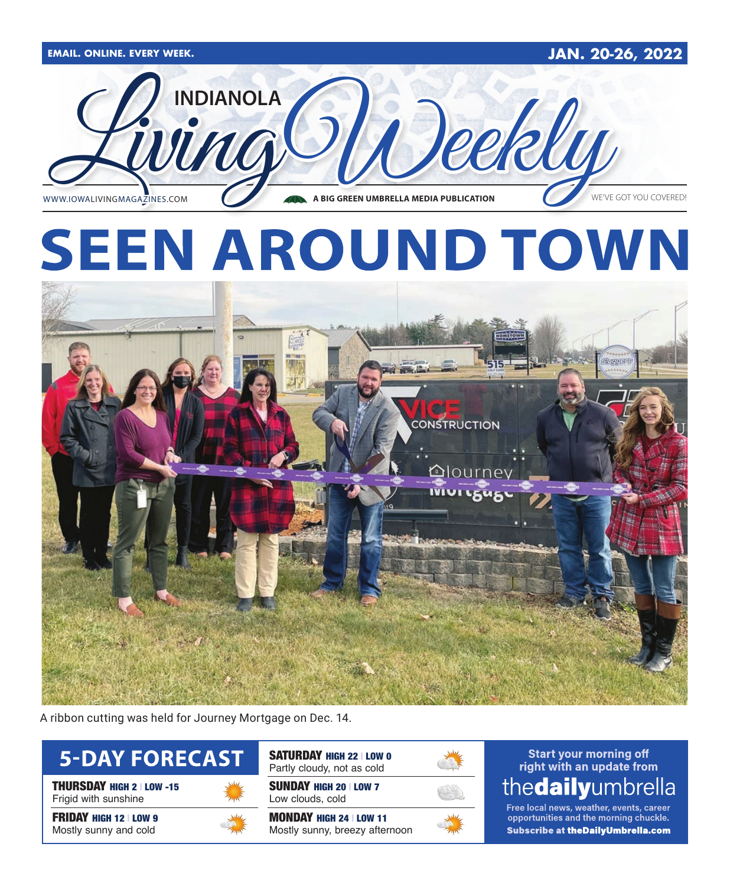

A ribbon cutting was held for Journey Mortgage on Dec. 14.



THURSDAY HIGH 2 | LOW -15 Frigid with sunshine

**FRIDAY HIGH 12 | LOW 9** Mostly sunny and cold



SATURDAY HIGH 22 | LOW 0 Partly cloudy, not as cold

SUNDAY HIGH 20 | LOW 7 Low clouds, cold

MONDAY HIGH 24 | LOW 11 Mostly sunny, breezy afternoon



## **Start your morning off** right with an update from thedailyumbrella

Free local news, weather, events, career opportunities and the morning chuckle. Subscribe at the Daily Umbrella.com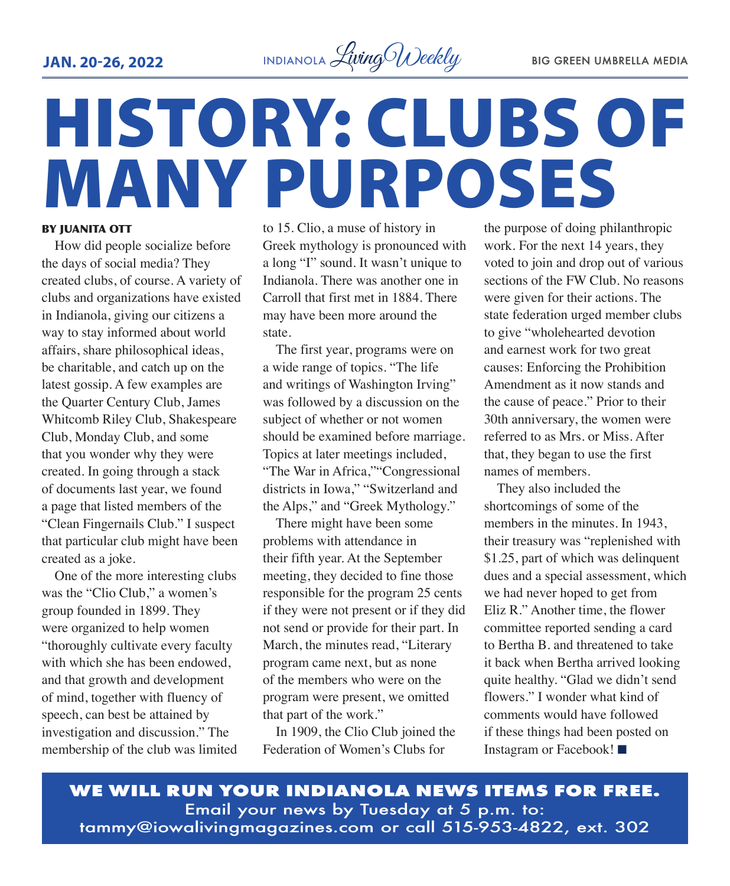

# HISTORY: CLUBS OF MANY PURPOSES

#### BY JUANITA OTT

How did people socialize before the days of social media? They created clubs, of course. A variety of clubs and organizations have existed in Indianola, giving our citizens a way to stay informed about world affairs, share philosophical ideas, be charitable, and catch up on the latest gossip. A few examples are the Quarter Century Club, James Whitcomb Riley Club, Shakespeare Club, Monday Club, and some that you wonder why they were created. In going through a stack of documents last year, we found a page that listed members of the "Clean Fingernails Club." I suspect that particular club might have been created as a joke.

One of the more interesting clubs was the "Clio Club," a women's group founded in 1899. They were organized to help women "thoroughly cultivate every faculty with which she has been endowed. and that growth and development of mind, together with fluency of speech, can best be attained by investigation and discussion." The membership of the club was limited to 15. Clio, a muse of history in Greek mythology is pronounced with a long "I" sound. It wasn't unique to Indianola. There was another one in Carroll that first met in 1884. There may have been more around the state.

The first year, programs were on a wide range of topics. "The life and writings of Washington Irving" was followed by a discussion on the subject of whether or not women should be examined before marriage. Topics at later meetings included, "The War in Africa,""Congressional districts in Iowa," "Switzerland and the Alps," and "Greek Mythology."

There might have been some problems with attendance in their fifth year. At the September meeting, they decided to fine those responsible for the program 25 cents if they were not present or if they did not send or provide for their part. In March, the minutes read, "Literary program came next, but as none of the members who were on the program were present, we omitted that part of the work."

In 1909, the Clio Club joined the Federation of Women's Clubs for

the purpose of doing philanthropic work. For the next 14 years, they voted to join and drop out of various sections of the FW Club. No reasons were given for their actions. The state federation urged member clubs to give "wholehearted devotion and earnest work for two great causes: Enforcing the Prohibition Amendment as it now stands and the cause of peace." Prior to their 30th anniversary, the women were referred to as Mrs. or Miss. After that, they began to use the first names of members.

They also included the shortcomings of some of the members in the minutes. In 1943, their treasury was "replenished with \$1.25, part of which was delinquent dues and a special assessment, which we had never hoped to get from Eliz R." Another time, the flower committee reported sending a card to Bertha B. and threatened to take it back when Bertha arrived looking quite healthy. "Glad we didn't send flowers." I wonder what kind of comments would have followed if these things had been posted on Instagram or Facebook! $\blacksquare$ 

**WE WILL RUN YOUR INDIANOLA NEWS ITEMS FOR FREE.** Email your news by Tuesday at 5 p.m. to: tammy@iowalivingmagazines.com or call 515-953-4822, ext. 302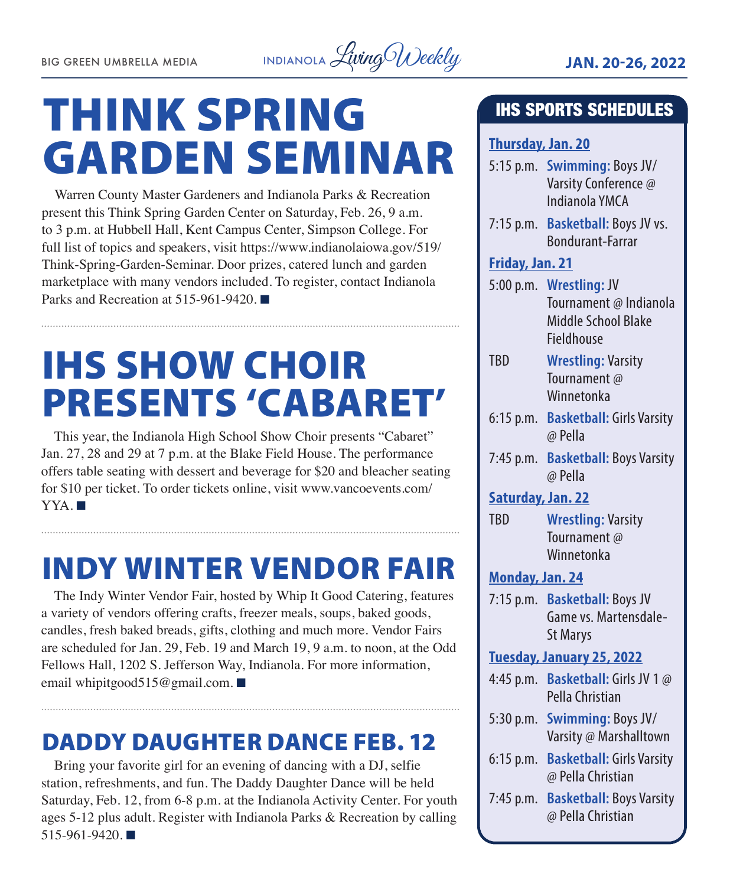

# THINK SPRING GARDEN SEMINAR

Warren County Master Gardeners and Indianola Parks & Recreation present this Think Spring Garden Center on Saturday, Feb. 26, 9 a.m. to 3 p.m. at Hubbell Hall, Kent Campus Center, Simpson College. For full list of topics and speakers, visit https://www.indianolaiowa.gov/519/ Think-Spring-Garden-Seminar. Door prizes, catered lunch and garden marketplace with many vendors included. To register, contact Indianola Parks and Recreation at  $515-961-9420$ .

# IHS SHOW CHOIR PRESENTS 'CABARET'

This year, the Indianola High School Show Choir presents "Cabaret" Jan. 27, 28 and 29 at 7 p.m. at the Blake Field House. The performance offers table seating with dessert and beverage for \$20 and bleacher seating for \$10 per ticket. To order tickets online, visit www.vancoevents.com/  $YYA.$ 

## INDY WINTER VENDOR FAIR

The Indy Winter Vendor Fair, hosted by Whip It Good Catering, features a variety of vendors offering crafts, freezer meals, soups, baked goods, candles, fresh baked breads, gifts, clothing and much more. Vendor Fairs are scheduled for Jan. 29, Feb. 19 and March 19, 9 a.m. to noon, at the Odd Fellows Hall, 1202 S. Jefferson Way, Indianola. For more information, email whipitgood515@gmail.com. ■

## DADDY DAUGHTER DANCE FEB. 12

Bring your favorite girl for an evening of dancing with a DJ, selfie station, refreshments, and fun. The Daddy Daughter Dance will be held Saturday, Feb. 12, from 6-8 p.m. at the Indianola Activity Center. For youth ages 5-12 plus adult. Register with Indianola Parks & Recreation by calling  $515-961-9420$ .

## IHS SPORTS SCHEDULES

## **Thursday, Jan. 20**

- 5:15 p.m. **Swimming:** Boys JV/ Varsity Conference @ Indianola YMCA
- 7:15 p.m. **Basketball:** Boys JV vs. Bondurant-Farrar

## **Friday, Jan. 21**

- 5:00 p.m. **Wrestling:** JV Tournament @ Indianola Middle School Blake Fieldhouse
- TBD **Wrestling:** Varsity Tournament @ Winnetonka
- 6:15 p.m. **Basketball:** Girls Varsity @ Pella
- 7:45 p.m. **Basketball:** Boys Varsity @ Pella
- **Saturday, Jan. 22**
- TBD **Wrestling:** Varsity Tournament @ Winnetonka

## **Monday, Jan. 24**

7:15 p.m. **Basketball:** Boys JV Game vs. Martensdale-St Marys

## **Tuesday, January 25, 2022**

- 4:45 p.m. **Basketball:** Girls JV 1 @ Pella Christian
- 5:30 p.m. **Swimming:** Boys JV/ Varsity @ Marshalltown
- 6:15 p.m. **Basketball:** Girls Varsity @ Pella Christian
- 7:45 p.m. **Basketball:** Boys Varsity @ Pella Christian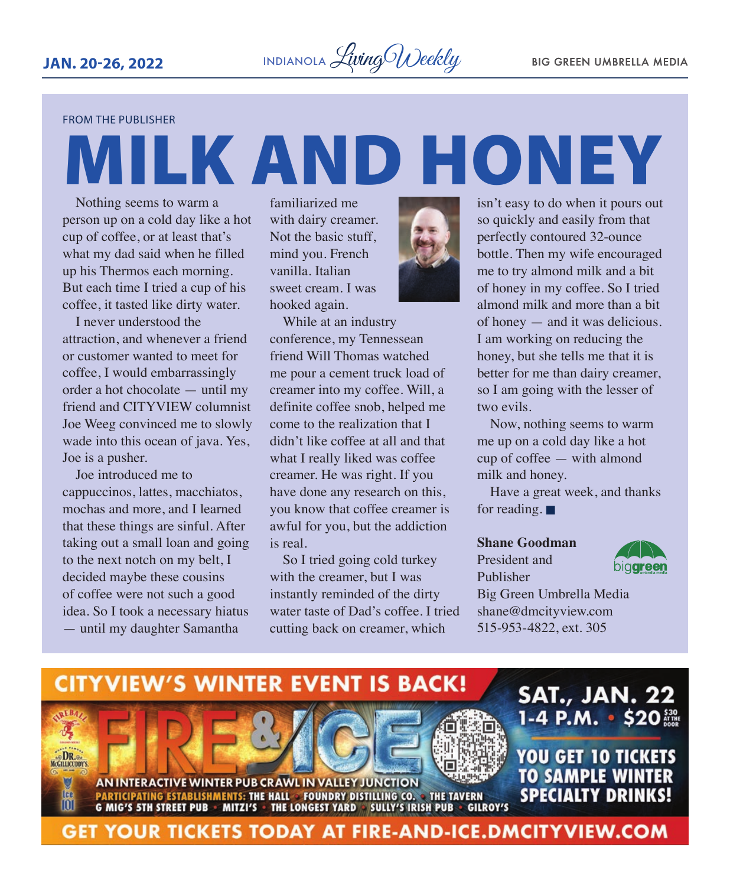FROM THE PUBLISHER

# MILK AND HONEY

Nothing seems to warm a person up on a cold day like a hot cup of coffee, or at least that's what my dad said when he filled up his Thermos each morning. But each time I tried a cup of his coffee, it tasted like dirty water.

I never understood the attraction, and whenever a friend or customer wanted to meet for coffee, I would embarrassingly order a hot chocolate — until my friend and CITYVIEW columnist Joe Weeg convinced me to slowly wade into this ocean of java. Yes, Joe is a pusher.

Joe introduced me to cappuccinos, lattes, macchiatos, mochas and more, and I learned that these things are sinful. After taking out a small loan and going to the next notch on my belt, I decided maybe these cousins of coffee were not such a good idea. So I took a necessary hiatus — until my daughter Samantha

familiarized me with dairy creamer. Not the basic stuff, mind you. French vanilla. Italian sweet cream. I was hooked again.



While at an industry conference, my Tennessean friend Will Thomas watched me pour a cement truck load of creamer into my coffee. Will, a definite coffee snob, helped me come to the realization that I didn't like coffee at all and that what I really liked was coffee creamer. He was right. If you have done any research on this, you know that coffee creamer is awful for you, but the addiction is real.

So I tried going cold turkey with the creamer, but I was instantly reminded of the dirty water taste of Dad's coffee. I tried cutting back on creamer, which

isn't easy to do when it pours out so quickly and easily from that perfectly contoured 32-ounce bottle. Then my wife encouraged me to try almond milk and a bit of honey in my coffee. So I tried almond milk and more than a bit of honey — and it was delicious. I am working on reducing the honey, but she tells me that it is better for me than dairy creamer, so I am going with the lesser of two evils.

Now, nothing seems to warm me up on a cold day like a hot cup of coffee — with almond milk and honey.

Have a great week, and thanks for reading.  $\blacksquare$ 

#### **Shane Goodman**

President and Publisher



Big Green Umbrella Media shane@dmcityview.com 515-953-4822, ext. 305

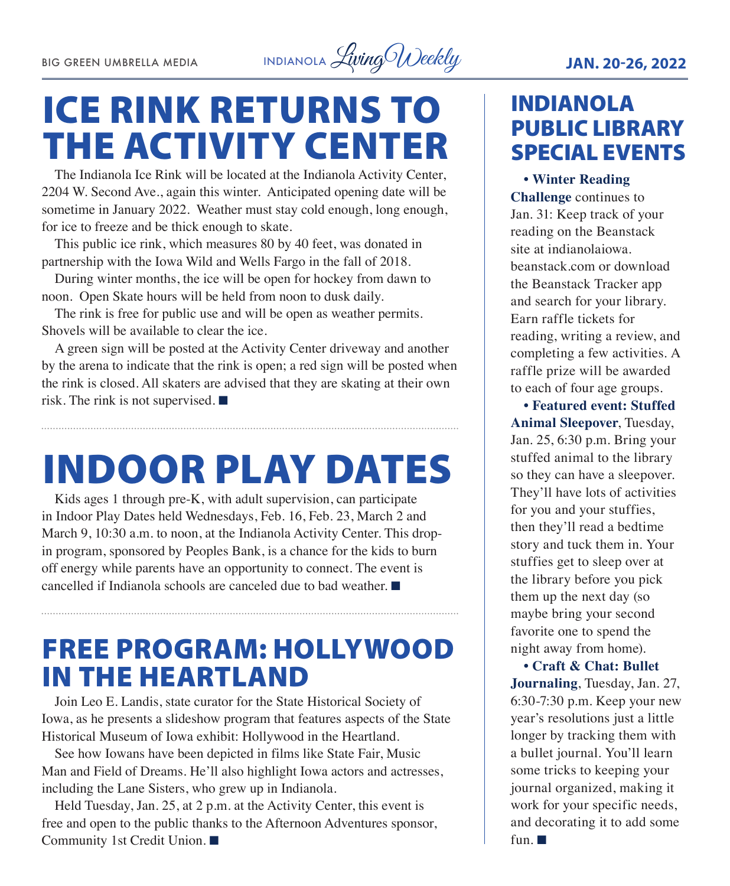BIG GREEN UMBRELLA MEDIA INDIANOLA *Living Weekly* JAN. 20-26, 2022

## ICE RINK RETURNS TO THE ACTIVITY CENTER

The Indianola Ice Rink will be located at the Indianola Activity Center, 2204 W. Second Ave., again this winter. Anticipated opening date will be sometime in January 2022. Weather must stay cold enough, long enough, for ice to freeze and be thick enough to skate.

This public ice rink, which measures 80 by 40 feet, was donated in partnership with the Iowa Wild and Wells Fargo in the fall of 2018.

During winter months, the ice will be open for hockey from dawn to noon. Open Skate hours will be held from noon to dusk daily.

The rink is free for public use and will be open as weather permits. Shovels will be available to clear the ice.

A green sign will be posted at the Activity Center driveway and another by the arena to indicate that the rink is open; a red sign will be posted when the rink is closed. All skaters are advised that they are skating at their own risk. The rink is not supervised.  $\blacksquare$ 

# INDOOR PLAY DATES

Kids ages 1 through pre-K, with adult supervision, can participate in Indoor Play Dates held Wednesdays, Feb. 16, Feb. 23, March 2 and March 9, 10:30 a.m. to noon, at the Indianola Activity Center. This dropin program, sponsored by Peoples Bank, is a chance for the kids to burn off energy while parents have an opportunity to connect. The event is cancelled if Indianola schools are canceled due to bad weather.  $\blacksquare$ 

## FREE PROGRAM: HOLLYWOOD IN THE HEARTLAND

Join Leo E. Landis, state curator for the State Historical Society of Iowa, as he presents a slideshow program that features aspects of the State Historical Museum of Iowa exhibit: Hollywood in the Heartland.

See how Iowans have been depicted in films like State Fair, Music Man and Field of Dreams. He'll also highlight Iowa actors and actresses, including the Lane Sisters, who grew up in Indianola.

Held Tuesday, Jan. 25, at 2 p.m. at the Activity Center, this event is free and open to the public thanks to the Afternoon Adventures sponsor, Community 1st Credit Union. ■

## INDIANOLA PUBLIC LIBRARY SPECIAL EVENTS

**• Winter Reading Challenge** continues to Jan. 31: Keep track of your reading on the Beanstack site at indianolaiowa. beanstack.com or download the Beanstack Tracker app and search for your library. Earn raffle tickets for reading, writing a review, and completing a few activities. A raffle prize will be awarded to each of four age groups.

**• Featured event: Stuffed Animal Sleepover**, Tuesday, Jan. 25, 6:30 p.m. Bring your stuffed animal to the library so they can have a sleepover. They'll have lots of activities for you and your stuffies, then they'll read a bedtime story and tuck them in. Your stuffies get to sleep over at the library before you pick them up the next day (so maybe bring your second favorite one to spend the night away from home).

**• Craft & Chat: Bullet Journaling**, Tuesday, Jan. 27, 6:30-7:30 p.m. Keep your new year's resolutions just a little longer by tracking them with a bullet journal. You'll learn some tricks to keeping your journal organized, making it work for your specific needs, and decorating it to add some fun.  $\blacksquare$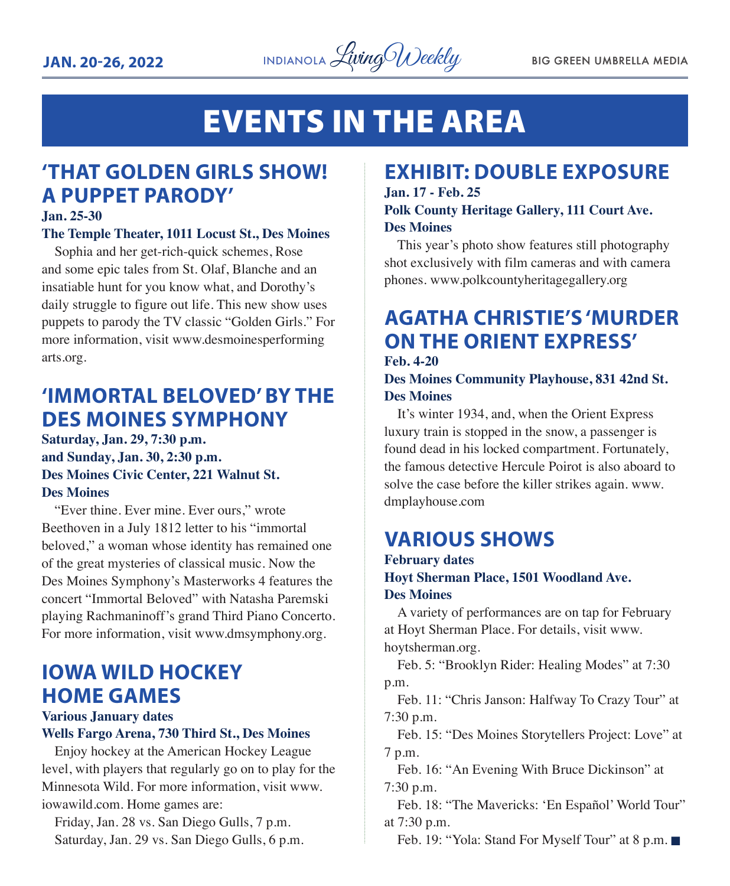

## EVENTS IN THE AREA

## **'THAT GOLDEN GIRLS SHOW! A PUPPET PARODY'**

#### **Jan. 25-30**

#### **The Temple Theater, 1011 Locust St., Des Moines**

Sophia and her get-rich-quick schemes, Rose and some epic tales from St. Olaf, Blanche and an insatiable hunt for you know what, and Dorothy's daily struggle to figure out life. This new show uses puppets to parody the TV classic "Golden Girls." For more information, visit www.desmoinesperforming arts.org.

## **'IMMORTAL BELOVED' BY THE DES MOINES SYMPHONY**

**Saturday, Jan. 29, 7:30 p.m. and Sunday, Jan. 30, 2:30 p.m. Des Moines Civic Center, 221 Walnut St. Des Moines**

"Ever thine. Ever mine. Ever ours," wrote Beethoven in a July 1812 letter to his "immortal beloved," a woman whose identity has remained one of the great mysteries of classical music. Now the Des Moines Symphony's Masterworks 4 features the concert "Immortal Beloved" with Natasha Paremski playing Rachmaninoff's grand Third Piano Concerto. For more information, visit www.dmsymphony.org.

## **IOWA WILD HOCKEY HOME GAMES**

**Various January dates**

#### **Wells Fargo Arena, 730 Third St., Des Moines**

Enjoy hockey at the American Hockey League level, with players that regularly go on to play for the Minnesota Wild. For more information, visit www. iowawild.com. Home games are:

Friday, Jan. 28 vs. San Diego Gulls, 7 p.m. Saturday, Jan. 29 vs. San Diego Gulls, 6 p.m.

## **EXHIBIT: DOUBLE EXPOSURE Jan. 17 - Feb. 25**

## **Polk County Heritage Gallery, 111 Court Ave. Des Moines**

This year's photo show features still photography shot exclusively with film cameras and with camera phones. www.polkcountyheritagegallery.org

## **AGATHA CHRISTIE'S 'MURDER ON THE ORIENT EXPRESS'**

**Feb. 4-20**

**Des Moines Community Playhouse, 831 42nd St. Des Moines**

It's winter 1934, and, when the Orient Express luxury train is stopped in the snow, a passenger is found dead in his locked compartment. Fortunately, the famous detective Hercule Poirot is also aboard to solve the case before the killer strikes again. www. dmplayhouse.com

## **VARIOUS SHOWS**

## **February dates Hoyt Sherman Place, 1501 Woodland Ave. Des Moines**

A variety of performances are on tap for February at Hoyt Sherman Place. For details, visit www. hoytsherman.org.

Feb. 5: "Brooklyn Rider: Healing Modes" at 7:30 p.m.

Feb. 11: "Chris Janson: Halfway To Crazy Tour" at 7:30 p.m.

Feb. 15: "Des Moines Storytellers Project: Love" at 7 p.m.

Feb. 16: "An Evening With Bruce Dickinson" at 7:30 p.m.

Feb. 18: "The Mavericks: 'En Español' World Tour" at 7:30 p.m.

Feb. 19: "Yola: Stand For Myself Tour" at 8 p.m.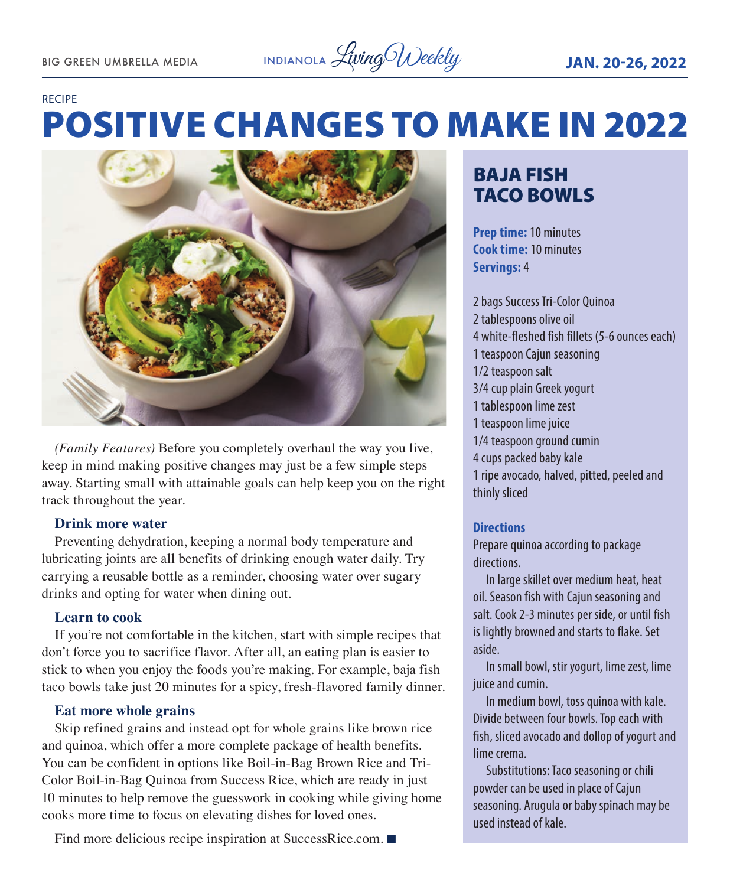#### RECIPE

# POSITIVE CHANGES TO MAKE IN 2022



*(Family Features)* Before you completely overhaul the way you live, keep in mind making positive changes may just be a few simple steps away. Starting small with attainable goals can help keep you on the right track throughout the year.

#### **Drink more water**

Preventing dehydration, keeping a normal body temperature and lubricating joints are all benefits of drinking enough water daily. Try carrying a reusable bottle as a reminder, choosing water over sugary drinks and opting for water when dining out.

#### **Learn to cook**

If you're not comfortable in the kitchen, start with simple recipes that don't force you to sacrifice flavor. After all, an eating plan is easier to stick to when you enjoy the foods you're making. For example, baja fish taco bowls take just 20 minutes for a spicy, fresh-flavored family dinner.

#### **Eat more whole grains**

Skip refined grains and instead opt for whole grains like brown rice and quinoa, which offer a more complete package of health benefits. You can be confident in options like Boil-in-Bag Brown Rice and Tri-Color Boil-in-Bag Quinoa from Success Rice, which are ready in just 10 minutes to help remove the guesswork in cooking while giving home cooks more time to focus on elevating dishes for loved ones.

#### Find more delicious recipe inspiration at SuccessRice.com.  $\blacksquare$

## BAJA FISH TACO BOWLS

**Prep time:** 10 minutes **Cook time:** 10 minutes **Servings:** 4

2 bags Success Tri-Color Quinoa 2 tablespoons olive oil 4 white-fleshed fish fillets (5-6 ounces each) 1 teaspoon Cajun seasoning 1/2 teaspoon salt 3/4 cup plain Greek yogurt 1 tablespoon lime zest 1 teaspoon lime juice 1/4 teaspoon ground cumin 4 cups packed baby kale 1 ripe avocado, halved, pitted, peeled and thinly sliced

#### **Directions**

Prepare quinoa according to package directions.

In large skillet over medium heat, heat oil. Season fish with Cajun seasoning and salt. Cook 2-3 minutes per side, or until fish is lightly browned and starts to flake. Set aside.

In small bowl, stir yogurt, lime zest, lime juice and cumin.

In medium bowl, toss quinoa with kale. Divide between four bowls. Top each with fish, sliced avocado and dollop of yogurt and lime crema.

Substitutions: Taco seasoning or chili powder can be used in place of Cajun seasoning. Arugula or baby spinach may be used instead of kale.